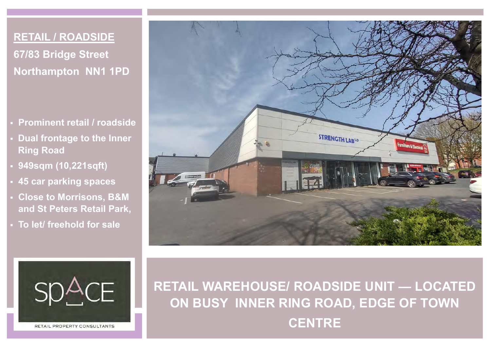# **RETAIL / ROADSIDE 67/83 Bridge Street Northampton NN1 1PD**

- **Prominent retail / roadside**
- **Dual frontage to the Inner Ring Road**
- **949sqm (10,221sqft)**
- **45 car parking spaces**
- **Close to Morrisons, B&M and St Peters Retail Park,**
- **To let/ freehold for sale**





**RETAIL WAREHOUSE/ ROADSIDE UNIT — LOCATED ON BUSY INNER RING ROAD, EDGE OF TOWN CENTRE**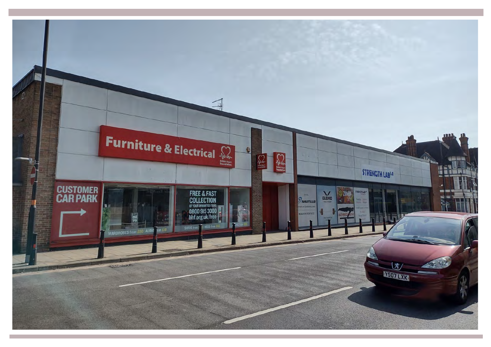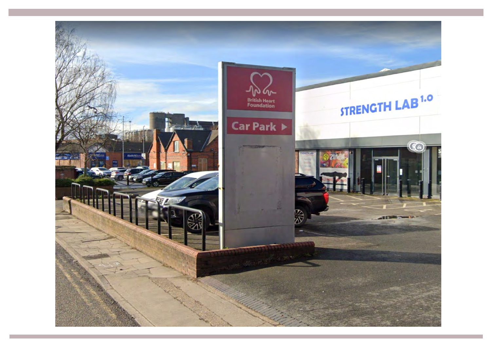